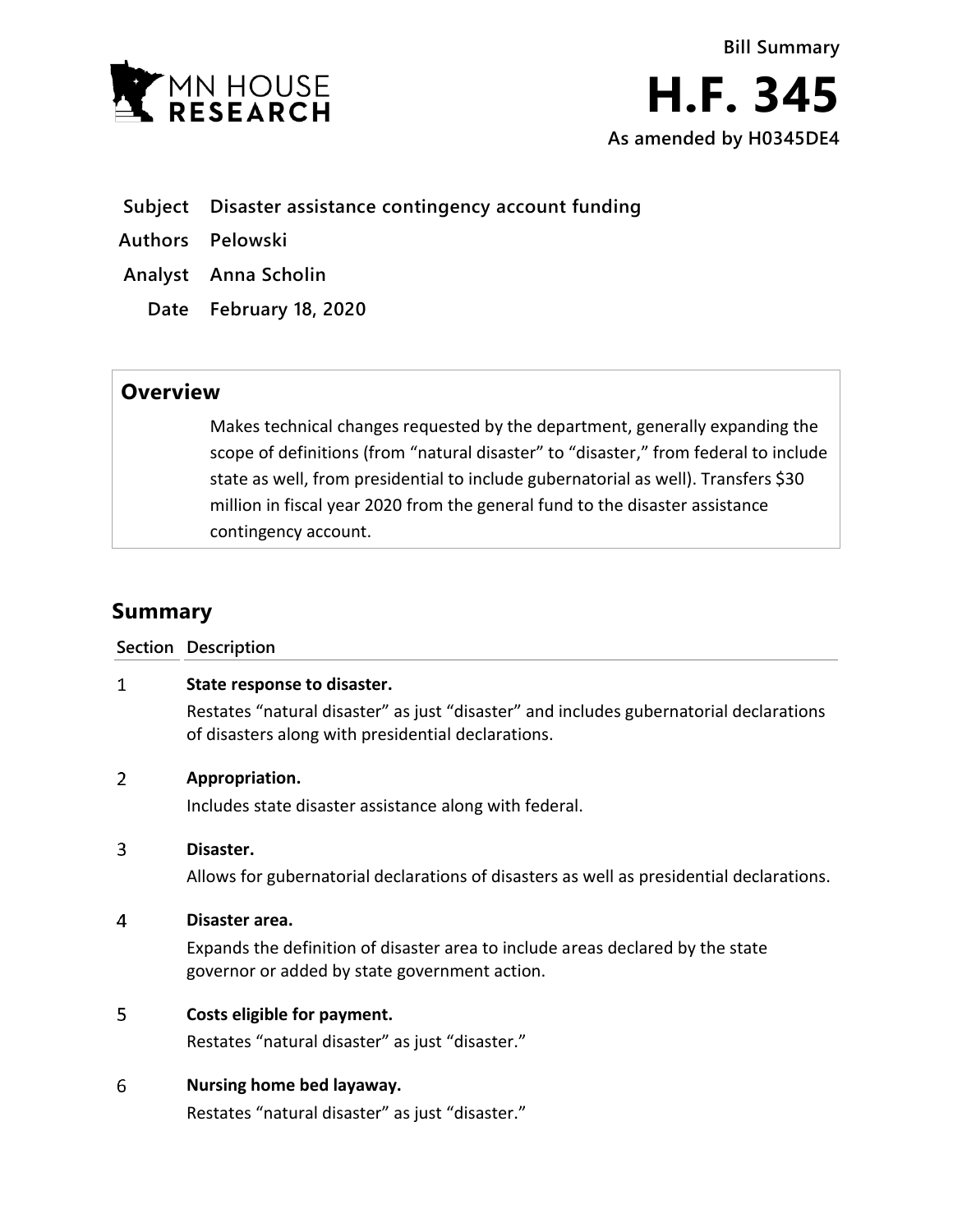

- **Subject Disaster assistance contingency account funding**
- **Authors Pelowski**
- **Analyst Anna Scholin**
	- **Date February 18, 2020**

## **Overview**

Makes technical changes requested by the department, generally expanding the scope of definitions (from "natural disaster" to "disaster," from federal to include state as well, from presidential to include gubernatorial as well). Transfers \$30 million in fiscal year 2020 from the general fund to the disaster assistance contingency account.

# **Summary**

## **Section Description**

### $\mathbf{1}$ **State response to disaster.**

Restates "natural disaster" as just "disaster" and includes gubernatorial declarations of disasters along with presidential declarations.

#### $\overline{2}$ **Appropriation.**

Includes state disaster assistance along with federal.

#### $\overline{3}$ **Disaster.**

Allows for gubernatorial declarations of disasters as well as presidential declarations.

#### $\overline{4}$ **Disaster area.**

Expands the definition of disaster area to include areas declared by the state governor or added by state government action.

#### 5 **Costs eligible for payment.**

Restates "natural disaster" as just "disaster."

#### 6 **Nursing home bed layaway.**

Restates "natural disaster" as just "disaster."